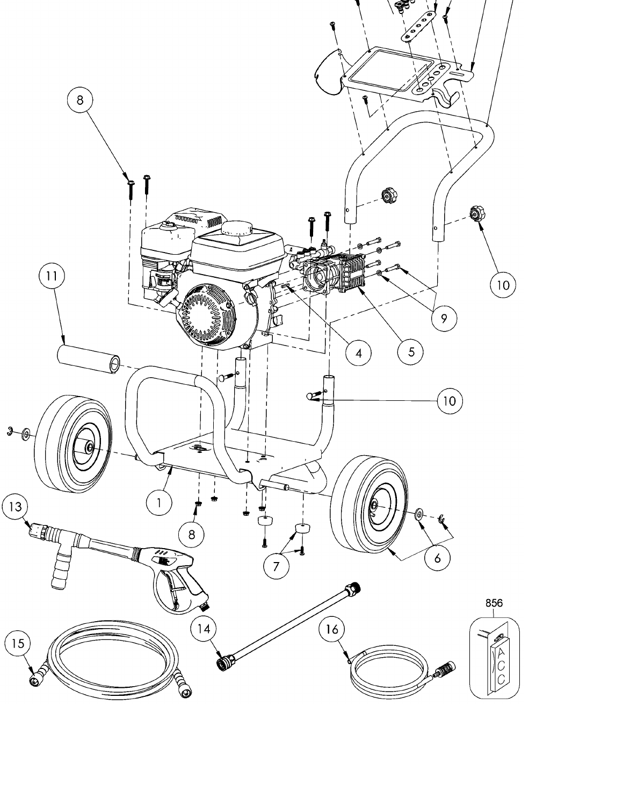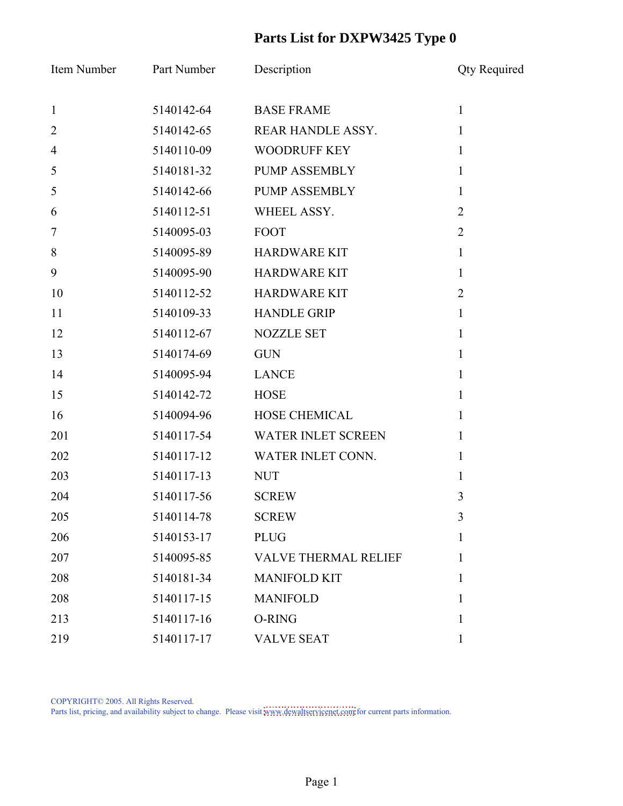| Item Number      | Part Number | Description                 | <b>Qty Required</b> |
|------------------|-------------|-----------------------------|---------------------|
| $\mathbf{1}$     | 5140142-64  | <b>BASE FRAME</b>           | $\mathbf{1}$        |
| $\overline{2}$   | 5140142-65  | REAR HANDLE ASSY.           | $\mathbf{1}$        |
| $\overline{4}$   | 5140110-09  | <b>WOODRUFF KEY</b>         | $\mathbf{1}$        |
| 5                | 5140181-32  | <b>PUMP ASSEMBLY</b>        | $\mathbf{1}$        |
| 5                | 5140142-66  | <b>PUMP ASSEMBLY</b>        | $\mathbf{1}$        |
| 6                | 5140112-51  | WHEEL ASSY.                 | $\overline{2}$      |
| $\boldsymbol{7}$ | 5140095-03  | FOOT                        | $\overline{2}$      |
| 8                | 5140095-89  | <b>HARDWARE KIT</b>         | $\mathbf{1}$        |
| 9                | 5140095-90  | <b>HARDWARE KIT</b>         | $\mathbf{1}$        |
| 10               | 5140112-52  | <b>HARDWARE KIT</b>         | $\overline{2}$      |
| 11               | 5140109-33  | <b>HANDLE GRIP</b>          | $\mathbf{1}$        |
| 12               | 5140112-67  | <b>NOZZLE SET</b>           | $\mathbf{1}$        |
| 13               | 5140174-69  | <b>GUN</b>                  | $\mathbf{1}$        |
| 14               | 5140095-94  | <b>LANCE</b>                | $\mathbf{1}$        |
| 15               | 5140142-72  | <b>HOSE</b>                 | $\mathbf{1}$        |
| 16               | 5140094-96  | HOSE CHEMICAL               | $\mathbf{1}$        |
| 201              | 5140117-54  | <b>WATER INLET SCREEN</b>   | $\mathbf{1}$        |
| 202              | 5140117-12  | WATER INLET CONN.           | $\mathbf{1}$        |
| 203              | 5140117-13  | <b>NUT</b>                  | $\mathbf{1}$        |
| 204              | 5140117-56  | <b>SCREW</b>                | 3                   |
| 205              | 5140114-78  | <b>SCREW</b>                | 3                   |
| 206              | 5140153-17  | PLUG                        | 1                   |
| 207              | 5140095-85  | <b>VALVE THERMAL RELIEF</b> | 1                   |
| 208              | 5140181-34  | <b>MANIFOLD KIT</b>         | 1                   |
| 208              | 5140117-15  | <b>MANIFOLD</b>             | 1                   |
| 213              | 5140117-16  | O-RING                      | 1                   |
| 219              | 5140117-17  | <b>VALVE SEAT</b>           | 1                   |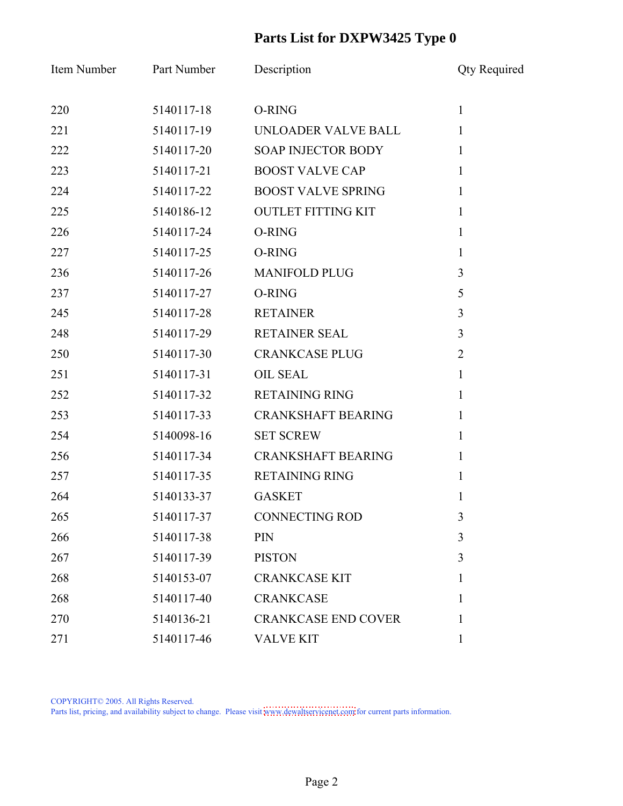| Item Number | Part Number | Description                | <b>Qty Required</b> |
|-------------|-------------|----------------------------|---------------------|
| 220         | 5140117-18  | O-RING                     | $\mathbf{1}$        |
| 221         | 5140117-19  | UNLOADER VALVE BALL        | $\mathbf{1}$        |
| 222         | 5140117-20  | <b>SOAP INJECTOR BODY</b>  | $\mathbf{1}$        |
| 223         | 5140117-21  | <b>BOOST VALVE CAP</b>     | $\mathbf{1}$        |
| 224         | 5140117-22  | <b>BOOST VALVE SPRING</b>  | $\mathbf{1}$        |
| 225         | 5140186-12  | <b>OUTLET FITTING KIT</b>  | $\mathbf{1}$        |
| 226         | 5140117-24  | O-RING                     | $\mathbf{1}$        |
| 227         | 5140117-25  | O-RING                     | $\mathbf{1}$        |
| 236         | 5140117-26  | <b>MANIFOLD PLUG</b>       | 3                   |
| 237         | 5140117-27  | O-RING                     | 5                   |
| 245         | 5140117-28  | <b>RETAINER</b>            | 3                   |
| 248         | 5140117-29  | <b>RETAINER SEAL</b>       | 3                   |
| 250         | 5140117-30  | <b>CRANKCASE PLUG</b>      | $\overline{2}$      |
| 251         | 5140117-31  | <b>OIL SEAL</b>            | $\mathbf{1}$        |
| 252         | 5140117-32  | <b>RETAINING RING</b>      | $\mathbf{1}$        |
| 253         | 5140117-33  | <b>CRANKSHAFT BEARING</b>  | $\mathbf{1}$        |
| 254         | 5140098-16  | <b>SET SCREW</b>           | $\mathbf{1}$        |
| 256         | 5140117-34  | <b>CRANKSHAFT BEARING</b>  | $\mathbf{1}$        |
| 257         | 5140117-35  | <b>RETAINING RING</b>      | $\mathbf{1}$        |
| 264         | 5140133-37  | <b>GASKET</b>              | 1                   |
| 265         | 5140117-37  | <b>CONNECTING ROD</b>      | 3                   |
| 266         | 5140117-38  | PIN                        | 3                   |
| 267         | 5140117-39  | <b>PISTON</b>              | 3                   |
| 268         | 5140153-07  | <b>CRANKCASE KIT</b>       | 1                   |
| 268         | 5140117-40  | <b>CRANKCASE</b>           | 1                   |
| 270         | 5140136-21  | <b>CRANKCASE END COVER</b> | 1                   |
| 271         | 5140117-46  | <b>VALVE KIT</b>           | $\mathbf{1}$        |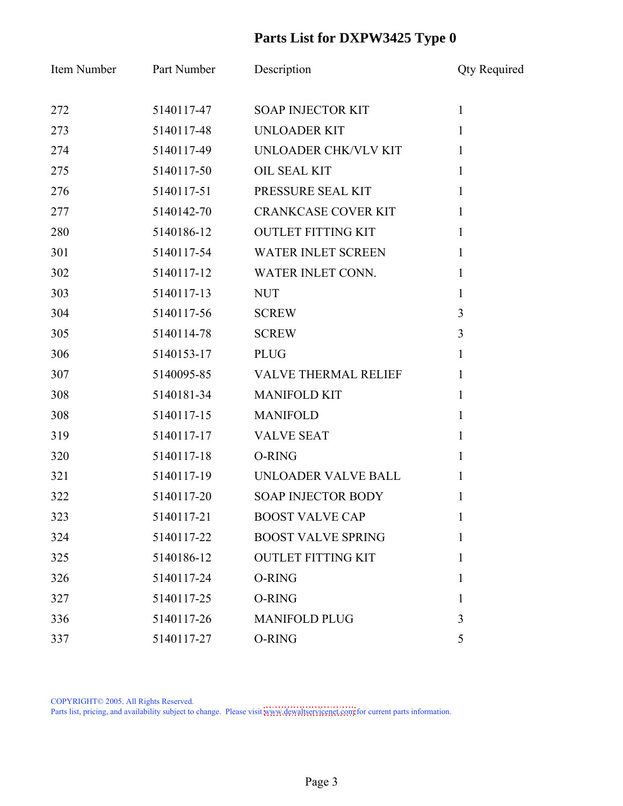| Item Number | Part Number | Description                 | <b>Qty Required</b> |
|-------------|-------------|-----------------------------|---------------------|
| 272         | 5140117-47  | <b>SOAP INJECTOR KIT</b>    | $\mathbf{1}$        |
| 273         | 5140117-48  | <b>UNLOADER KIT</b>         | $\mathbf{1}$        |
| 274         | 5140117-49  | UNLOADER CHK/VLV KIT        | 1                   |
| 275         | 5140117-50  | <b>OIL SEAL KIT</b>         | $\mathbf{1}$        |
| 276         | 5140117-51  | PRESSURE SEAL KIT           | 1                   |
| 277         | 5140142-70  | <b>CRANKCASE COVER KIT</b>  | 1                   |
| 280         | 5140186-12  | <b>OUTLET FITTING KIT</b>   | $\mathbf{1}$        |
| 301         | 5140117-54  | <b>WATER INLET SCREEN</b>   | $\mathbf{1}$        |
| 302         | 5140117-12  | WATER INLET CONN.           | $\mathbf{1}$        |
| 303         | 5140117-13  | <b>NUT</b>                  | $\mathbf{1}$        |
| 304         | 5140117-56  | <b>SCREW</b>                | 3                   |
| 305         | 5140114-78  | <b>SCREW</b>                | 3                   |
| 306         | 5140153-17  | <b>PLUG</b>                 | $\mathbf{1}$        |
| 307         | 5140095-85  | <b>VALVE THERMAL RELIEF</b> | $\mathbf{1}$        |
| 308         | 5140181-34  | <b>MANIFOLD KIT</b>         | $\mathbf{1}$        |
| 308         | 5140117-15  | <b>MANIFOLD</b>             | $\mathbf{1}$        |
| 319         | 5140117-17  | <b>VALVE SEAT</b>           | $\mathbf{1}$        |
| 320         | 5140117-18  | O-RING                      | $\mathbf{1}$        |
| 321         | 5140117-19  | UNLOADER VALVE BALL         | $\mathbf{1}$        |
| 322         | 5140117-20  | <b>SOAP INJECTOR BODY</b>   |                     |
| 323         | 5140117-21  | <b>BOOST VALVE CAP</b>      | $\mathbf{I}$        |
| 324         | 5140117-22  | <b>BOOST VALVE SPRING</b>   | 1                   |
| 325         | 5140186-12  | <b>OUTLET FITTING KIT</b>   | 1                   |
| 326         | 5140117-24  | O-RING                      | 1                   |
| 327         | 5140117-25  | O-RING                      | 1                   |
| 336         | 5140117-26  | <b>MANIFOLD PLUG</b>        | 3                   |
| 337         | 5140117-27  | O-RING                      | 5                   |